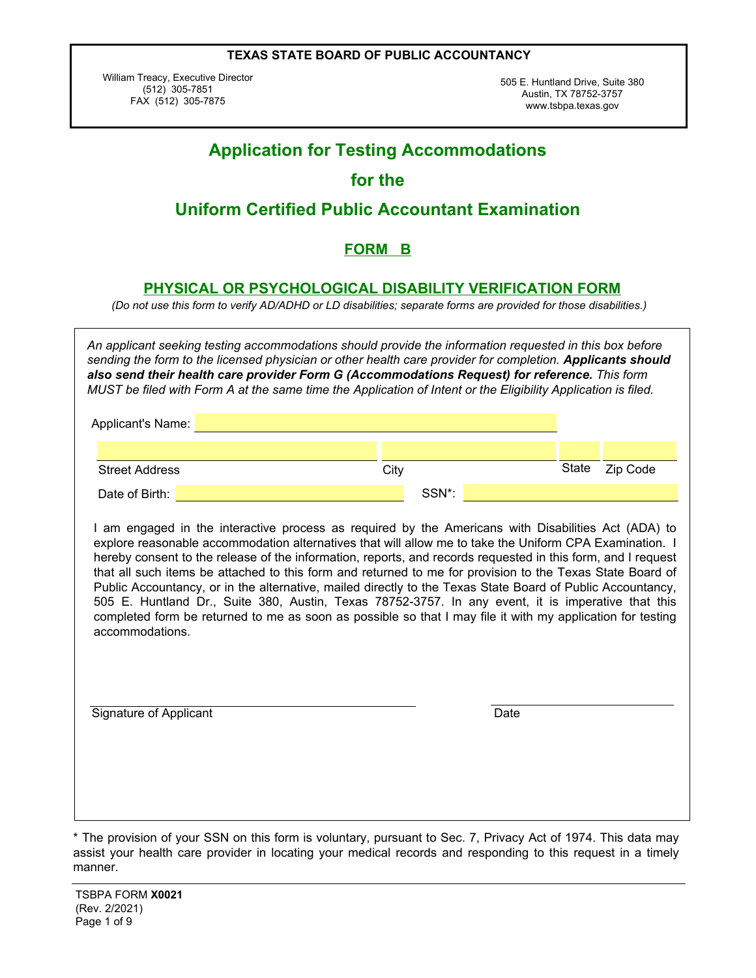William Treacy, Executive Director (512) 305-7851 FAX (512) 305-7875

505 E. Huntland Drive, Suite 380 Austin, TX 78752-3757 www.tsbpa.texas.gov

|                        |  |  |               |      |       | <b>Application for Testing Accommodations</b>                                                                                                                                                                                                                                                                                                                                                                                                                                                                                                                                                                                                                                                                                                                                 |              |          |  |
|------------------------|--|--|---------------|------|-------|-------------------------------------------------------------------------------------------------------------------------------------------------------------------------------------------------------------------------------------------------------------------------------------------------------------------------------------------------------------------------------------------------------------------------------------------------------------------------------------------------------------------------------------------------------------------------------------------------------------------------------------------------------------------------------------------------------------------------------------------------------------------------------|--------------|----------|--|
|                        |  |  | for the       |      |       |                                                                                                                                                                                                                                                                                                                                                                                                                                                                                                                                                                                                                                                                                                                                                                               |              |          |  |
|                        |  |  |               |      |       | <b>Uniform Certified Public Accountant Examination</b>                                                                                                                                                                                                                                                                                                                                                                                                                                                                                                                                                                                                                                                                                                                        |              |          |  |
|                        |  |  | <b>FORM B</b> |      |       |                                                                                                                                                                                                                                                                                                                                                                                                                                                                                                                                                                                                                                                                                                                                                                               |              |          |  |
|                        |  |  |               |      |       | <b>PHYSICAL OR PSYCHOLOGICAL DISABILITY VERIFICATION FORM</b><br>(Do not use this form to verify AD/ADHD or LD disabilities; separate forms are provided for those disabilities.)                                                                                                                                                                                                                                                                                                                                                                                                                                                                                                                                                                                             |              |          |  |
|                        |  |  |               |      |       | An applicant seeking testing accommodations should provide the information requested in this box before<br>sending the form to the licensed physician or other health care provider for completion. Applicants should<br>also send their health care provider Form G (Accommodations Request) for reference. This form<br>MUST be filed with Form A at the same time the Application of Intent or the Eligibility Application is filed.                                                                                                                                                                                                                                                                                                                                       |              |          |  |
| Applicant's Name:      |  |  |               |      |       |                                                                                                                                                                                                                                                                                                                                                                                                                                                                                                                                                                                                                                                                                                                                                                               |              |          |  |
| <b>Street Address</b>  |  |  |               | City |       |                                                                                                                                                                                                                                                                                                                                                                                                                                                                                                                                                                                                                                                                                                                                                                               | <b>State</b> | Zip Code |  |
| Date of Birth:         |  |  |               |      | SSN*: |                                                                                                                                                                                                                                                                                                                                                                                                                                                                                                                                                                                                                                                                                                                                                                               |              |          |  |
| accommodations.        |  |  |               |      |       | I am engaged in the interactive process as required by the Americans with Disabilities Act (ADA) to<br>explore reasonable accommodation alternatives that will allow me to take the Uniform CPA Examination. I<br>hereby consent to the release of the information, reports, and records requested in this form, and I request<br>that all such items be attached to this form and returned to me for provision to the Texas State Board of<br>Public Accountancy, or in the alternative, mailed directly to the Texas State Board of Public Accountancy,<br>505 E. Huntland Dr., Suite 380, Austin, Texas 78752-3757. In any event, it is imperative that this<br>completed form be returned to me as soon as possible so that I may file it with my application for testing |              |          |  |
| Signature of Applicant |  |  |               |      |       | Date                                                                                                                                                                                                                                                                                                                                                                                                                                                                                                                                                                                                                                                                                                                                                                          |              |          |  |
|                        |  |  |               |      |       |                                                                                                                                                                                                                                                                                                                                                                                                                                                                                                                                                                                                                                                                                                                                                                               |              |          |  |

<sup>\*</sup> The provision of your SSN on this form is voluntary, pursuant to Sec. 7, Privacy Act of 1974. This data may assist your health care provider in locating your medical records and responding to this request in a timely manner.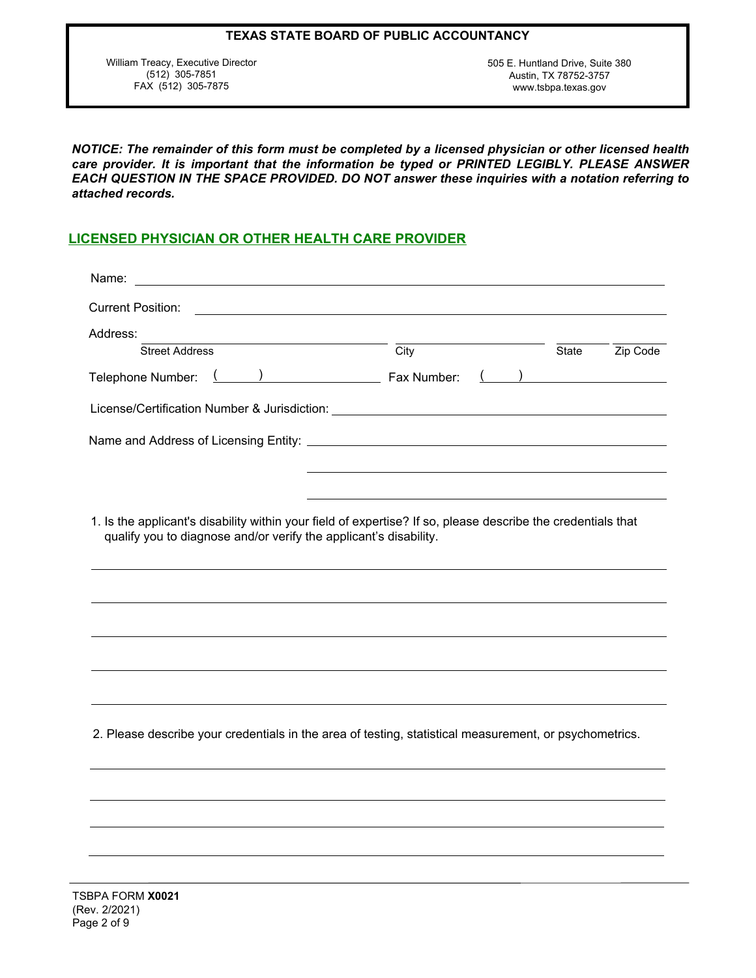| TEXAS STATE BOARD OF PUBLIC ACCOUNTANCY |  |  |
|-----------------------------------------|--|--|
|-----------------------------------------|--|--|

William Treacy, Executive Director (512) 305-7851 FAX (512) 305-7875

505 E. Huntland Drive, Suite 380 Austin, TX 78752-3757 www.tsbpa.texas.gov

*NOTICE: The remainder of this form must be completed by a licensed physician or other licensed health care provider. It is important that the information be typed or PRINTED LEGIBLY. PLEASE ANSWER EACH QUESTION IN THE SPACE PROVIDED. DO NOT answer these inquiries with a notation referring to attached records.*

# **LICENSED PHYSICIAN OR OTHER HEALTH CARE PROVIDER**

| Name:                                                                                                                                                                             |                          |              |                                                 |
|-----------------------------------------------------------------------------------------------------------------------------------------------------------------------------------|--------------------------|--------------|-------------------------------------------------|
| <b>Current Position:</b>                                                                                                                                                          |                          |              |                                                 |
| Address:                                                                                                                                                                          |                          |              |                                                 |
| <b>Street Address</b>                                                                                                                                                             | $\overline{\text{City}}$ | <b>State</b> | Zip Code                                        |
| $\lambda$<br>Telephone Number:                                                                                                                                                    | Fax Number:              |              | $\left(\begin{array}{cc} \& \end{array}\right)$ |
|                                                                                                                                                                                   |                          |              |                                                 |
|                                                                                                                                                                                   |                          |              |                                                 |
|                                                                                                                                                                                   |                          |              |                                                 |
| 1. Is the applicant's disability within your field of expertise? If so, please describe the credentials that<br>qualify you to diagnose and/or verify the applicant's disability. |                          |              |                                                 |
|                                                                                                                                                                                   |                          |              |                                                 |
|                                                                                                                                                                                   |                          |              |                                                 |
|                                                                                                                                                                                   |                          |              |                                                 |
|                                                                                                                                                                                   |                          |              |                                                 |
|                                                                                                                                                                                   |                          |              |                                                 |
| 2. Please describe your credentials in the area of testing, statistical measurement, or psychometrics.                                                                            |                          |              |                                                 |
|                                                                                                                                                                                   |                          |              |                                                 |
|                                                                                                                                                                                   |                          |              |                                                 |
|                                                                                                                                                                                   |                          |              |                                                 |
|                                                                                                                                                                                   |                          |              |                                                 |
|                                                                                                                                                                                   |                          |              |                                                 |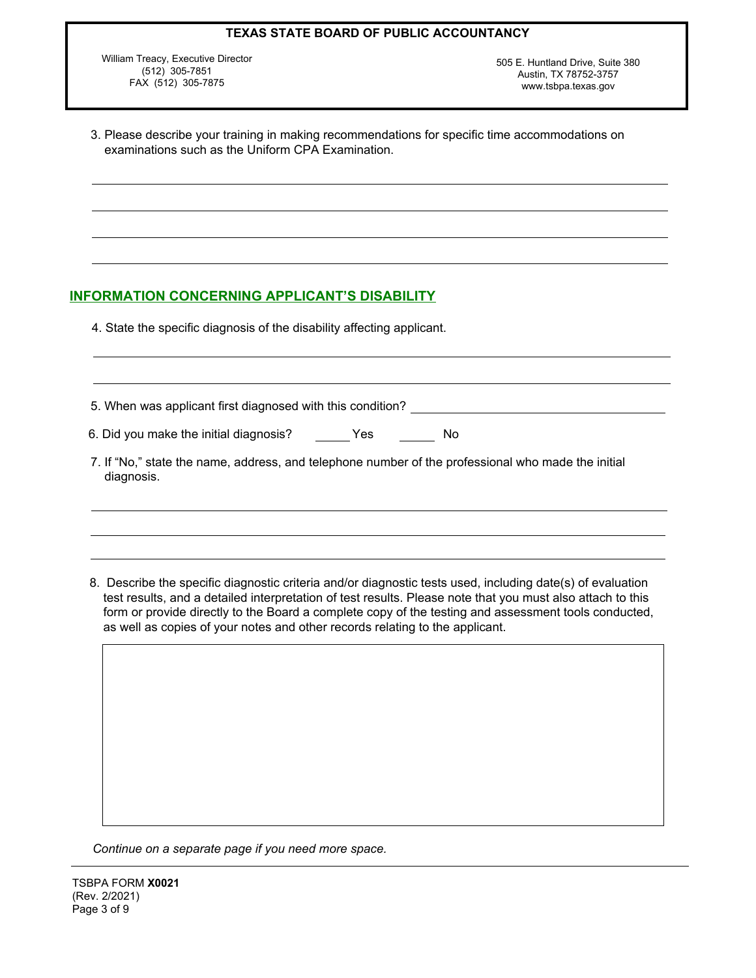William Treacy, Executive Director (512) 305-7851 FAX (512) 305-7875

505 E. Huntland Drive, Suite 380 Austin, TX 78752-3757 www.tsbpa.texas.gov

| 3. Please describe your training in making recommendations for specific time accommodations on |
|------------------------------------------------------------------------------------------------|
| examinations such as the Uniform CPA Examination.                                              |

## **INFORMATION CONCERNING APPLICANT'S DISABILITY**

4. State the specific diagnosis of the disability affecting applicant.

| 5. When was applicant first diagnosed with this condition?                                                       |     |  |
|------------------------------------------------------------------------------------------------------------------|-----|--|
| 6. Did you make the initial diagnosis? Yes                                                                       | No. |  |
| 7. If "No," state the name, address, and telephone number of the professional who made the initial<br>diagnosis. |     |  |
|                                                                                                                  |     |  |

8. Describe the specific diagnostic criteria and/or diagnostic tests used, including date(s) of evaluation test results, and a detailed interpretation of test results. Please note that you must also attach to this form or provide directly to the Board a complete copy of the testing and assessment tools conducted, as well as copies of your notes and other records relating to the applicant.

*Continue on a separate page if you need more space.*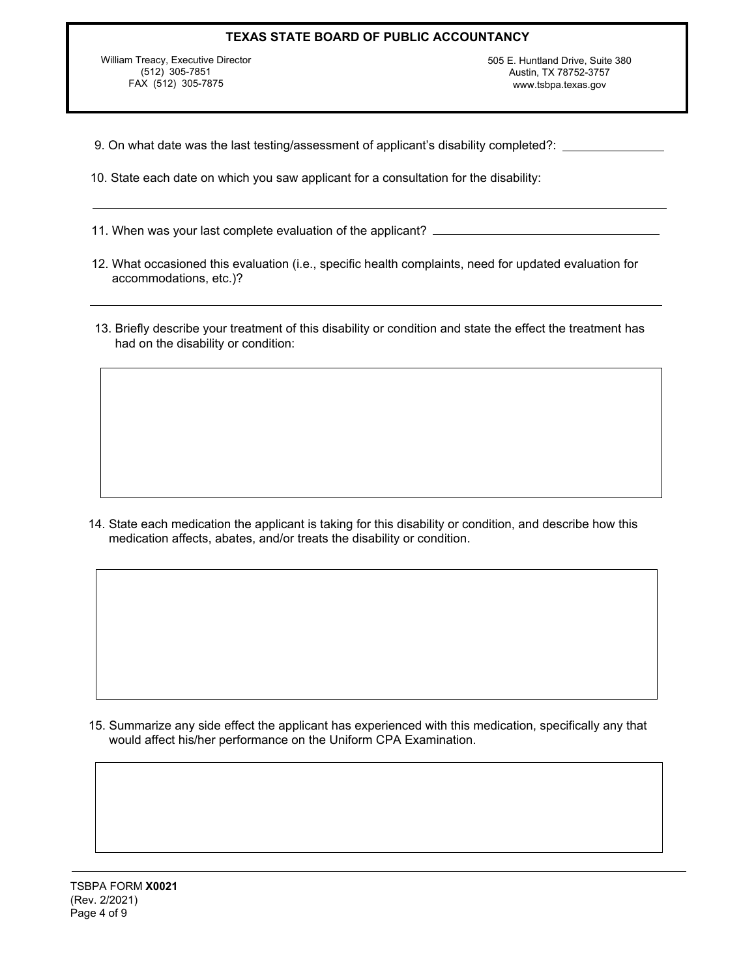William Treacy, Executive Director (512) 305-7851 FAX (512) 305-7875

505 E. Huntland Drive, Suite 380 Austin, TX 78752-3757 www.tsbpa.texas.gov

- 9. On what date was the last testing/assessment of applicant's disability completed?:
- 10. State each date on which you saw applicant for a consultation for the disability:
- 11. When was your last complete evaluation of the applicant?
- 12. What occasioned this evaluation (i.e., specific health complaints, need for updated evaluation for accommodations, etc.)?
- 13. Briefly describe your treatment of this disability or condition and state the effect the treatment has had on the disability or condition:

14. State each medication the applicant is taking for this disability or condition, and describe how this medication affects, abates, and/or treats the disability or condition.

15. Summarize any side effect the applicant has experienced with this medication, specifically any that would affect his/her performance on the Uniform CPA Examination.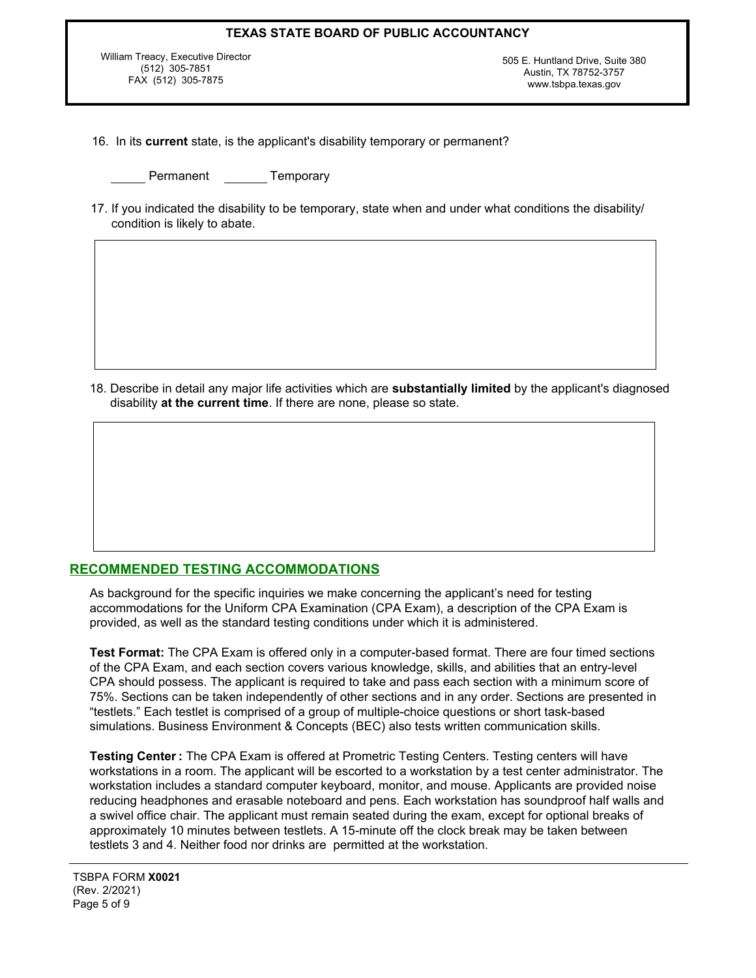William Treacy, Executive Director (512) 305-7851 FAX (512) 305-7875

505 E. Huntland Drive, Suite 380 Austin, TX 78752-3757 www.tsbpa.texas.gov

- 16. In its **current** state, is the applicant's disability temporary or permanent?
	- Permanent Temporary
- 17. If you indicated the disability to be temporary, state when and under what conditions the disability/ condition is likely to abate.

18. Describe in detail any major life activities which are **substantially limited** by the applicant's diagnosed disability **at the current time**. If there are none, please so state.

## **RECOMMENDED TESTING ACCOMMODATIONS**

As background for the specific inquiries we make concerning the applicant's need for testing accommodations for the Uniform CPA Examination (CPA Exam), a description of the CPA Exam is provided, as well as the standard testing conditions under which it is administered.

**Test Format:** The CPA Exam is offered only in a computer-based format. There are four timed sections of the CPA Exam, and each section covers various knowledge, skills, and abilities that an entry-level CPA should possess. The applicant is required to take and pass each section with a minimum score of 75%. Sections can be taken independently of other sections and in any order. Sections are presented in "testlets." Each testlet is comprised of a group of multiple-choice questions or short task-based simulations. Business Environment & Concepts (BEC) also tests written communication skills.

**Testing Center :** The CPA Exam is offered at Prometric Testing Centers. Testing centers will have workstations in a room. The applicant will be escorted to a workstation by a test center administrator. The workstation includes a standard computer keyboard, monitor, and mouse. Applicants are provided noise reducing headphones and erasable noteboard and pens. Each workstation has soundproof half walls and a swivel office chair. The applicant must remain seated during the exam, except for optional breaks of approximately 10 minutes between testlets. A 15-minute off the clock break may be taken between testlets 3 and 4. Neither food nor drinks are permitted at the workstation.

TSBPA FORM **X0021** (Rev. 2/2021) Page 5 of 9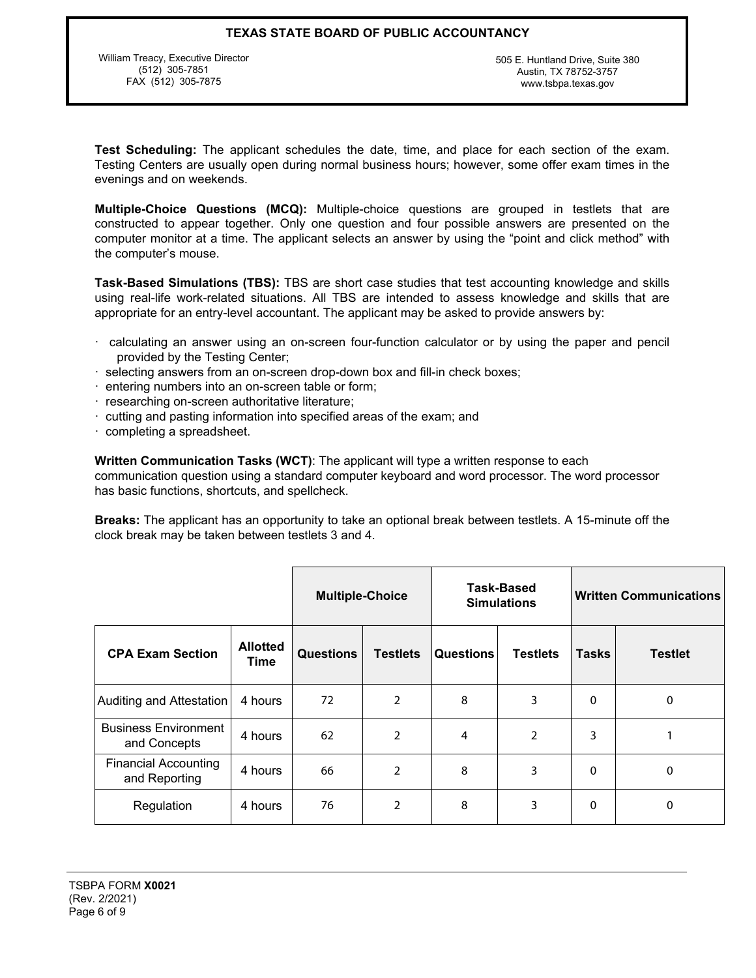William Treacy, Executive Director (512) 305-7851 FAX (512) 305-7875

505 E. Huntland Drive, Suite 380 Austin, TX 78752-3757 www.tsbpa.texas.gov

**Test Scheduling:** The applicant schedules the date, time, and place for each section of the exam. Testing Centers are usually open during normal business hours; however, some offer exam times in the evenings and on weekends.

**Multiple-Choice Questions (MCQ):** Multiple-choice questions are grouped in testlets that are constructed to appear together. Only one question and four possible answers are presented on the computer monitor at a time. The applicant selects an answer by using the "point and click method" with the computer's mouse.

**Task-Based Simulations (TBS):** TBS are short case studies that test accounting knowledge and skills using real-life work-related situations. All TBS are intended to assess knowledge and skills that are appropriate for an entry-level accountant. The applicant may be asked to provide answers by:

- · calculating an answer using an on-screen four-function calculator or by using the paper and pencil provided by the Testing Center;
- · selecting answers from an on-screen drop-down box and fill-in check boxes;
- · entering numbers into an on-screen table or form;
- · researching on-screen authoritative literature;
- · cutting and pasting information into specified areas of the exam; and
- · completing a spreadsheet.

**Written Communication Tasks (WCT)**: The applicant will type a written response to each communication question using a standard computer keyboard and word processor. The word processor has basic functions, shortcuts, and spellcheck.

**Breaks:** The applicant has an opportunity to take an optional break between testlets. A 15-minute off the clock break may be taken between testlets 3 and 4.

|                                              |                         | <b>Multiple-Choice</b> |                 | Task-Based<br><b>Simulations</b> |                 | <b>Written Communications</b> |                |
|----------------------------------------------|-------------------------|------------------------|-----------------|----------------------------------|-----------------|-------------------------------|----------------|
| <b>CPA Exam Section</b>                      | <b>Allotted</b><br>Time | <b>Questions</b>       | <b>Testlets</b> | <b>Questions</b>                 | <b>Testlets</b> | <b>Tasks</b>                  | <b>Testlet</b> |
| Auditing and Attestation                     | 4 hours                 | 72                     | 2               | 8                                | 3               | 0                             | 0              |
| <b>Business Environment</b><br>and Concepts  | 4 hours                 | 62                     | 2               | 4                                | $\overline{2}$  | 3                             |                |
| <b>Financial Accounting</b><br>and Reporting | 4 hours                 | 66                     | 2               | 8                                | 3               | $\mathbf 0$                   | 0              |
| Regulation                                   | 4 hours                 | 76                     | 2               | 8                                | 3               | 0                             | 0              |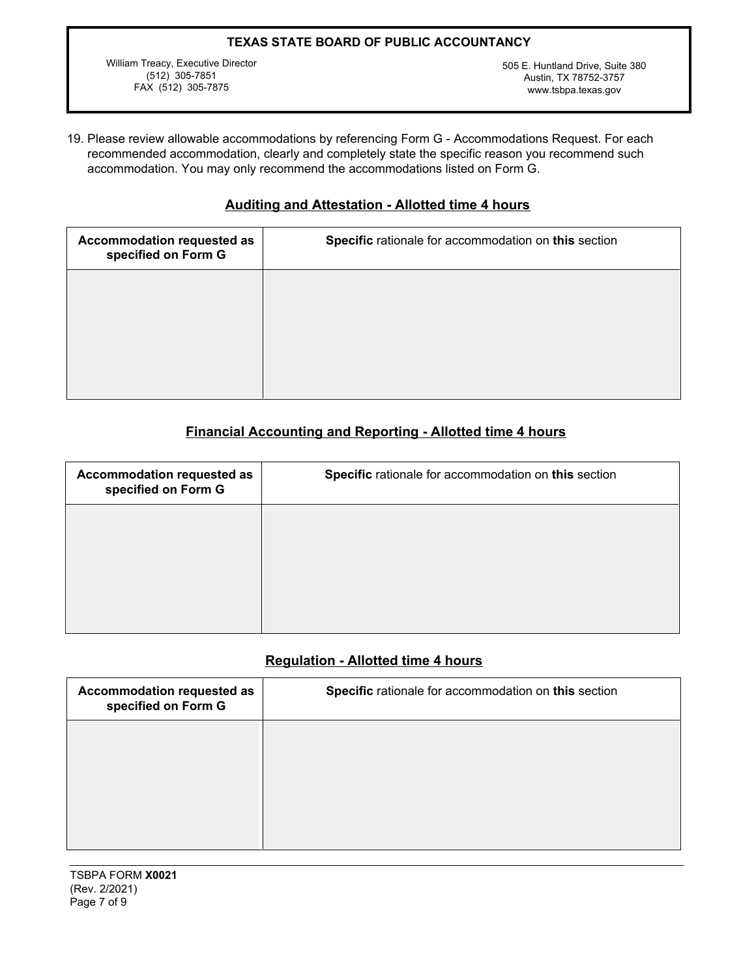William Treacy, Executive Director (512) 305-7851 FAX (512) 305-7875

505 E. Huntland Drive, Suite 380 Austin, TX 78752-3757 <www.tsbpa.texas.gov>

19. Please review allowable accommodations by referencing Form G - Accommodations Request. For each recommended accommodation, clearly and completely state the specific reason you recommend such accommodation. You may only recommend the accommodations listed on Form G.

# **Auditing and Attestation - Allotted time 4 hours**

## **Financial Accounting and Reporting - Allotted time 4 hours**

| Accommodation requested as<br>specified on Form G | Specific rationale for accommodation on this section |
|---------------------------------------------------|------------------------------------------------------|
|                                                   |                                                      |
|                                                   |                                                      |
|                                                   |                                                      |

## **Regulation - Allotted time 4 hours**

| Accommodation requested as<br>specified on Form G | Specific rationale for accommodation on this section |
|---------------------------------------------------|------------------------------------------------------|
|                                                   |                                                      |
|                                                   |                                                      |
|                                                   |                                                      |

TSBPA FORM **X0021** (Rev. 2/2021) Page 7 of 9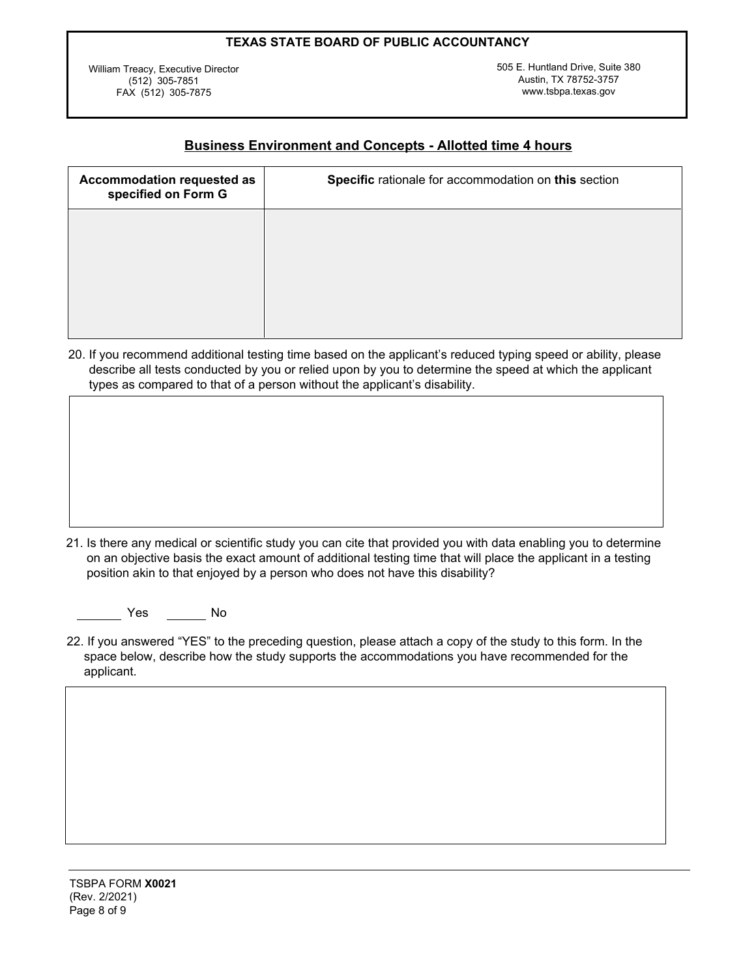William Treacy, Executive Director (512) 305-7851 FAX (512) 305-7875

505 E. Huntland Drive, Suite 380 Austin, TX 78752-3757 www.tsbpa.texas.gov

# **Business Environment and Concepts - Allotted time 4 hours**

| Accommodation requested as<br>specified on Form G | Specific rationale for accommodation on this section |
|---------------------------------------------------|------------------------------------------------------|
|                                                   |                                                      |
|                                                   |                                                      |
|                                                   |                                                      |

20. If you recommend additional testing time based on the applicant's reduced typing speed or ability, please describe all tests conducted by you or relied upon by you to determine the speed at which the applicant types as compared to that of a person without the applicant's disability.

21. Is there any medical or scientific study you can cite that provided you with data enabling you to determine on an objective basis the exact amount of additional testing time that will place the applicant in a testing position akin to that enjoyed by a person who does not have this disability?

Yes No

22. If you answered "YES" to the preceding question, please attach a copy of the study to this form. In the space below, describe how the study supports the accommodations you have recommended for the applicant.